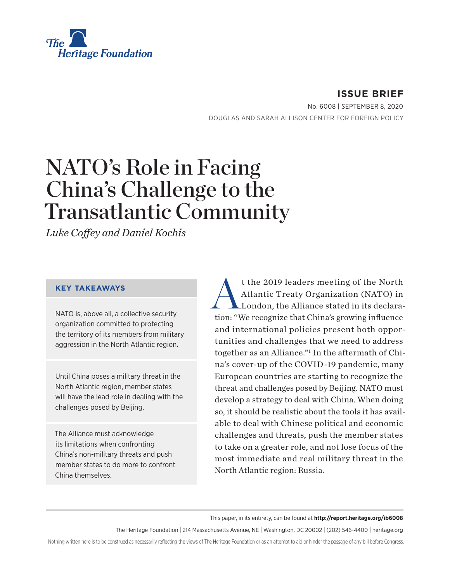

**ISSUE BRIEF** No. 6008 | September 8, 2020 DOUGLAS AND SARAH ALLISON CENTER FOR FOREIGN POLICY

# NATO's Role in Facing China's Challenge to the Transatlantic Community

*Luke Coffey and Daniel Kochis*

#### **KEY TAKEAWAYS**

NATO is, above all, a collective security organization committed to protecting the territory of its members from military aggression in the North Atlantic region.

Until China poses a military threat in the North Atlantic region, member states will have the lead role in dealing with the challenges posed by Beijing.

The Alliance must acknowledge its limitations when confronting China's non-military threats and push member states to do more to confront China themselves.

t the 2019 leaders meeting of the North<br>Atlantic Treaty Organization (NATO) in<br>London, the Alliance stated in its declara-Atlantic Treaty Organization (NATO) in London, the Alliance stated in its declaration: "We recognize that China's growing influence and international policies present both opportunities and challenges that we need to address together as an Alliance."1 In the aftermath of China's cover-up of the COVID-19 pandemic, many European countries are starting to recognize the threat and challenges posed by Beijing. NATO must develop a strategy to deal with China. When doing so, it should be realistic about the tools it has available to deal with Chinese political and economic challenges and threats, push the member states to take on a greater role, and not lose focus of the most immediate and real military threat in the North Atlantic region: Russia.

This paper, in its entirety, can be found at **http://report.heritage.org/ib6008**

The Heritage Foundation | 214 Massachusetts Avenue, NE | Washington, DC 20002 | (202) 546-4400 | heritage.org

Nothing written here is to be construed as necessarily reflecting the views of The Heritage Foundation or as an attempt to aid or hinder the passage of any bill before Congress.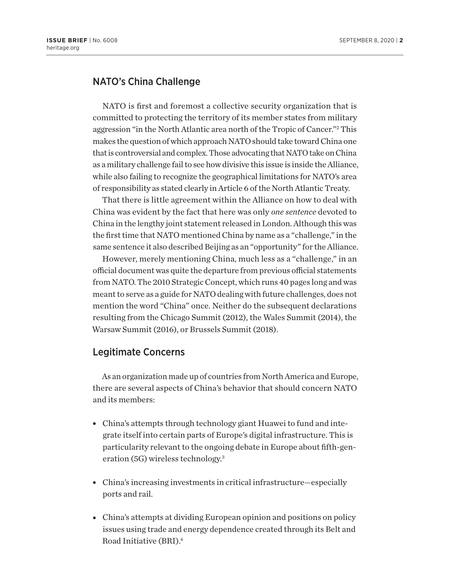## NATO's China Challenge

NATO is first and foremost a collective security organization that is committed to protecting the territory of its member states from military aggression "in the North Atlantic area north of the Tropic of Cancer."2 This makes the question of which approach NATO should take toward China one that is controversial and complex. Those advocating that NATO take on China as a military challenge fail to see how divisive this issue is inside the Alliance, while also failing to recognize the geographical limitations for NATO's area of responsibility as stated clearly in Article 6 of the North Atlantic Treaty.

That there is little agreement within the Alliance on how to deal with China was evident by the fact that here was only *one sentence* devoted to China in the lengthy joint statement released in London. Although this was the first time that NATO mentioned China by name as a "challenge," in the same sentence it also described Beijing as an "opportunity" for the Alliance.

However, merely mentioning China, much less as a "challenge," in an official document was quite the departure from previous official statements from NATO. The 2010 Strategic Concept, which runs 40 pages long and was meant to serve as a guide for NATO dealing with future challenges, does not mention the word "China" once. Neither do the subsequent declarations resulting from the Chicago Summit (2012), the Wales Summit (2014), the Warsaw Summit (2016), or Brussels Summit (2018).

#### Legitimate Concerns

As an organization made up of countries from North America and Europe, there are several aspects of China's behavior that should concern NATO and its members:

- China's attempts through technology giant Huawei to fund and integrate itself into certain parts of Europe's digital infrastructure. This is particularity relevant to the ongoing debate in Europe about fifth-generation (5G) wireless technology.3
- China's increasing investments in critical infrastructure—especially ports and rail.
- China's attempts at dividing European opinion and positions on policy issues using trade and energy dependence created through its Belt and Road Initiative (BRI).4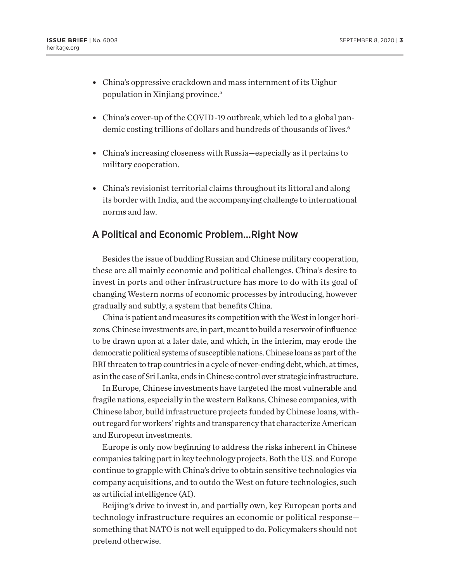- China's oppressive crackdown and mass internment of its Uighur population in Xinjiang province.5
- China's cover-up of the COVID-19 outbreak, which led to a global pandemic costing trillions of dollars and hundreds of thousands of lives.<sup>6</sup>
- China's increasing closeness with Russia—especially as it pertains to military cooperation.
- China's revisionist territorial claims throughout its littoral and along its border with India, and the accompanying challenge to international norms and law.

### A Political and Economic Problem…Right Now

Besides the issue of budding Russian and Chinese military cooperation, these are all mainly economic and political challenges. China's desire to invest in ports and other infrastructure has more to do with its goal of changing Western norms of economic processes by introducing, however gradually and subtly, a system that benefits China.

China is patient and measures its competition with the West in longer horizons. Chinese investments are, in part, meant to build a reservoir of influence to be drawn upon at a later date, and which, in the interim, may erode the democratic political systems of susceptible nations. Chinese loans as part of the BRI threaten to trap countries in a cycle of never-ending debt, which, at times, as in the case of Sri Lanka, ends in Chinese control over strategic infrastructure.

In Europe, Chinese investments have targeted the most vulnerable and fragile nations, especially in the western Balkans. Chinese companies, with Chinese labor, build infrastructure projects funded by Chinese loans, without regard for workers' rights and transparency that characterize American and European investments.

Europe is only now beginning to address the risks inherent in Chinese companies taking part in key technology projects. Both the U.S. and Europe continue to grapple with China's drive to obtain sensitive technologies via company acquisitions, and to outdo the West on future technologies, such as artificial intelligence (AI).

Beijing's drive to invest in, and partially own, key European ports and technology infrastructure requires an economic or political response something that NATO is not well equipped to do. Policymakers should not pretend otherwise.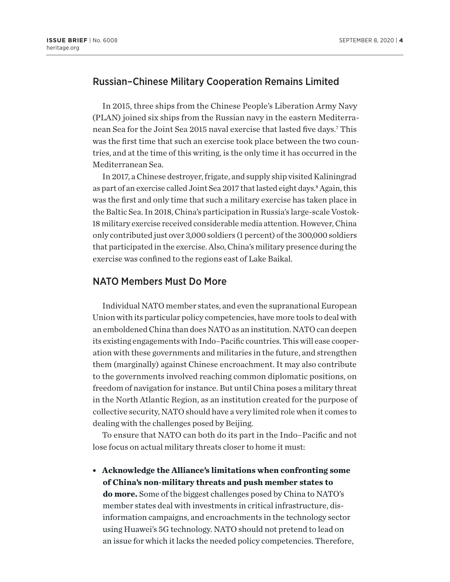## Russian–Chinese Military Cooperation Remains Limited

In 2015, three ships from the Chinese People's Liberation Army Navy (PLAN) joined six ships from the Russian navy in the eastern Mediterranean Sea for the Joint Sea 2015 naval exercise that lasted five days.7 This was the first time that such an exercise took place between the two countries, and at the time of this writing, is the only time it has occurred in the Mediterranean Sea.

In 2017, a Chinese destroyer, frigate, and supply ship visited Kaliningrad as part of an exercise called Joint Sea 2017 that lasted eight days.<sup>8</sup> Again, this was the first and only time that such a military exercise has taken place in the Baltic Sea. In 2018, China's participation in Russia's large-scale Vostok-18 military exercise received considerable media attention. However, China only contributed just over 3,000 soldiers (1 percent) of the 300,000 soldiers that participated in the exercise. Also, China's military presence during the exercise was confined to the regions east of Lake Baikal.

#### NATO Members Must Do More

Individual NATO member states, and even the supranational European Union with its particular policy competencies, have more tools to deal with an emboldened China than does NATO as an institution. NATO can deepen its existing engagements with Indo–Pacific countries. This will ease cooperation with these governments and militaries in the future, and strengthen them (marginally) against Chinese encroachment. It may also contribute to the governments involved reaching common diplomatic positions, on freedom of navigation for instance. But until China poses a military threat in the North Atlantic Region, as an institution created for the purpose of collective security, NATO should have a very limited role when it comes to dealing with the challenges posed by Beijing.

To ensure that NATO can both do its part in the Indo–Pacific and not lose focus on actual military threats closer to home it must:

<sup>l</sup> **Acknowledge the Alliance's limitations when confronting some of China's non-military threats and push member states to do more.** Some of the biggest challenges posed by China to NATO's member states deal with investments in critical infrastructure, disinformation campaigns, and encroachments in the technology sector using Huawei's 5G technology. NATO should not pretend to lead on an issue for which it lacks the needed policy competencies. Therefore,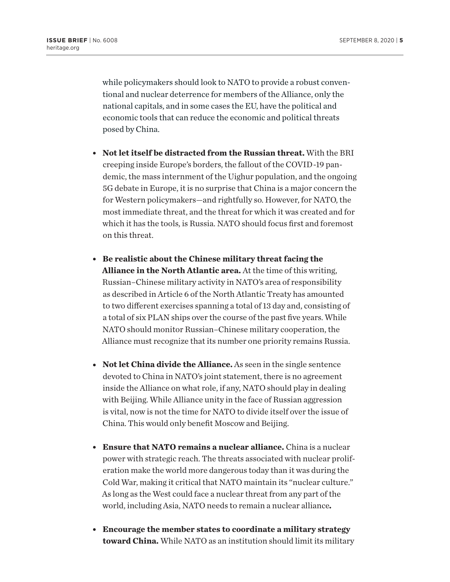while policymakers should look to NATO to provide a robust conventional and nuclear deterrence for members of the Alliance, only the national capitals, and in some cases the EU, have the political and economic tools that can reduce the economic and political threats posed by China.

- <sup>l</sup> **Not let itself be distracted from the Russian threat.** With the BRI creeping inside Europe's borders, the fallout of the COVID-19 pandemic, the mass internment of the Uighur population, and the ongoing 5G debate in Europe, it is no surprise that China is a major concern the for Western policymakers—and rightfully so. However, for NATO, the most immediate threat, and the threat for which it was created and for which it has the tools, is Russia. NATO should focus first and foremost on this threat.
- **Example 3 Fe** realistic about the Chinese military threat facing the **Alliance in the North Atlantic area.** At the time of this writing, Russian–Chinese military activity in NATO's area of responsibility as described in Article 6 of the North Atlantic Treaty has amounted to two different exercises spanning a total of 13 day and, consisting of a total of six PLAN ships over the course of the past five years. While NATO should monitor Russian–Chinese military cooperation, the Alliance must recognize that its number one priority remains Russia.
- **Not let China divide the Alliance.** As seen in the single sentence devoted to China in NATO's joint statement, there is no agreement inside the Alliance on what role, if any, NATO should play in dealing with Beijing. While Alliance unity in the face of Russian aggression is vital, now is not the time for NATO to divide itself over the issue of China. This would only benefit Moscow and Beijing.
- <sup>l</sup> **Ensure that NATO remains a nuclear alliance.** China is a nuclear power with strategic reach. The threats associated with nuclear proliferation make the world more dangerous today than it was during the Cold War, making it critical that NATO maintain its "nuclear culture." As long as the West could face a nuclear threat from any part of the world, including Asia, NATO needs to remain a nuclear alliance*.*
- <sup>l</sup> **Encourage the member states to coordinate a military strategy toward China.** While NATO as an institution should limit its military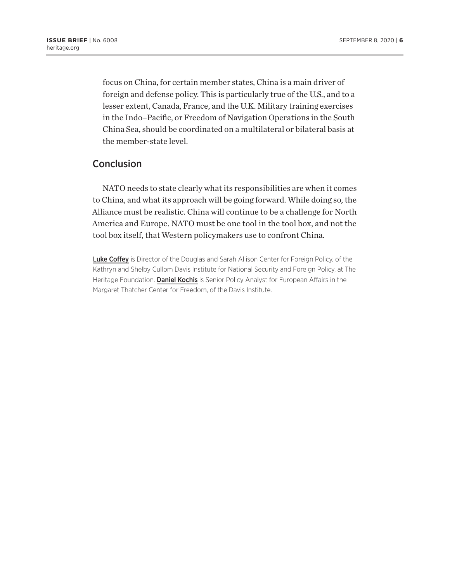focus on China, for certain member states, China is a main driver of foreign and defense policy. This is particularly true of the U.S., and to a lesser extent, Canada, France, and the U.K. Military training exercises in the Indo–Pacific, or Freedom of Navigation Operations in the South China Sea, should be coordinated on a multilateral or bilateral basis at the member-state level.

### **Conclusion**

NATO needs to state clearly what its responsibilities are when it comes to China, and what its approach will be going forward. While doing so, the Alliance must be realistic. China will continue to be a challenge for North America and Europe. NATO must be one tool in the tool box, and not the tool box itself, that Western policymakers use to confront China.

Luke Coffey is Director of the Douglas and Sarah Allison Center for Foreign Policy, of the Kathryn and Shelby Cullom Davis Institute for National Security and Foreign Policy, at The Heritage Foundation. Daniel Kochis is Senior Policy Analyst for European Affairs in the Margaret Thatcher Center for Freedom, of the Davis Institute.